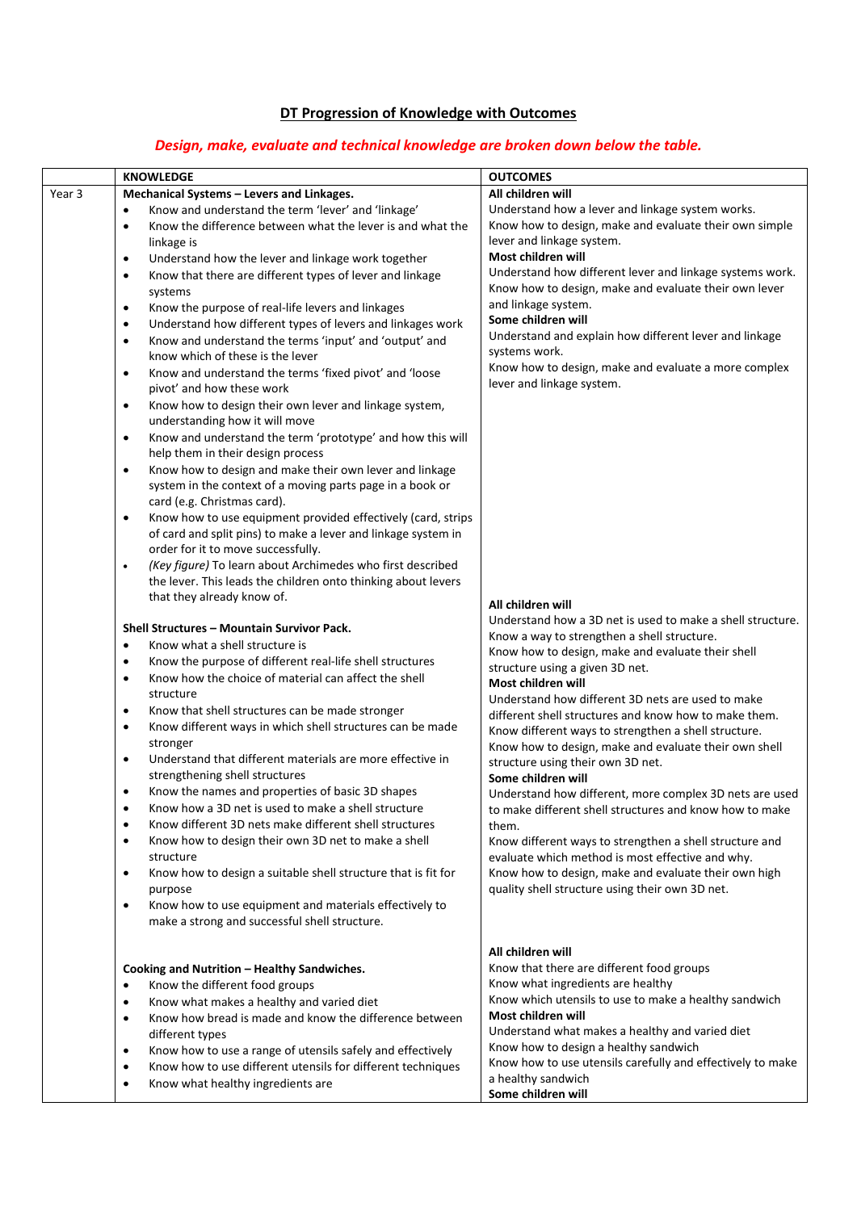# **DT Progression of Knowledge with Outcomes**

# *Design, make, evaluate and technical knowledge are broken down below the table.*

|        | <b>KNOWLEDGE</b>                                                                                | <b>OUTCOMES</b>                                                                            |
|--------|-------------------------------------------------------------------------------------------------|--------------------------------------------------------------------------------------------|
| Year 3 | Mechanical Systems - Levers and Linkages.                                                       | All children will                                                                          |
|        | Know and understand the term 'lever' and 'linkage'<br>$\bullet$                                 | Understand how a lever and linkage system works.                                           |
|        | Know the difference between what the lever is and what the<br>$\bullet$                         | Know how to design, make and evaluate their own simple                                     |
|        | linkage is                                                                                      | lever and linkage system.                                                                  |
|        | Understand how the lever and linkage work together<br>$\bullet$                                 | Most children will                                                                         |
|        | Know that there are different types of lever and linkage<br>$\bullet$                           | Understand how different lever and linkage systems work.                                   |
|        | systems                                                                                         | Know how to design, make and evaluate their own lever                                      |
|        | Know the purpose of real-life levers and linkages<br>$\bullet$                                  | and linkage system.                                                                        |
|        | Understand how different types of levers and linkages work<br>$\bullet$                         | Some children will                                                                         |
|        | Know and understand the terms 'input' and 'output' and<br>$\bullet$                             | Understand and explain how different lever and linkage<br>systems work.                    |
|        | know which of these is the lever                                                                | Know how to design, make and evaluate a more complex                                       |
|        | Know and understand the terms 'fixed pivot' and 'loose<br>$\bullet$                             | lever and linkage system.                                                                  |
|        | pivot' and how these work                                                                       |                                                                                            |
|        | Know how to design their own lever and linkage system,<br>$\bullet$                             |                                                                                            |
|        | understanding how it will move<br>$\bullet$                                                     |                                                                                            |
|        | Know and understand the term 'prototype' and how this will<br>help them in their design process |                                                                                            |
|        | Know how to design and make their own lever and linkage<br>$\bullet$                            |                                                                                            |
|        | system in the context of a moving parts page in a book or                                       |                                                                                            |
|        | card (e.g. Christmas card).                                                                     |                                                                                            |
|        | Know how to use equipment provided effectively (card, strips<br>$\bullet$                       |                                                                                            |
|        | of card and split pins) to make a lever and linkage system in                                   |                                                                                            |
|        | order for it to move successfully.                                                              |                                                                                            |
|        | (Key figure) To learn about Archimedes who first described<br>$\bullet$                         |                                                                                            |
|        | the lever. This leads the children onto thinking about levers                                   |                                                                                            |
|        | that they already know of.                                                                      | All children will                                                                          |
|        |                                                                                                 | Understand how a 3D net is used to make a shell structure.                                 |
|        | Shell Structures - Mountain Survivor Pack.                                                      | Know a way to strengthen a shell structure.                                                |
|        | Know what a shell structure is<br>$\bullet$                                                     | Know how to design, make and evaluate their shell                                          |
|        | Know the purpose of different real-life shell structures<br>$\bullet$                           | structure using a given 3D net.                                                            |
|        | Know how the choice of material can affect the shell<br>$\bullet$                               | Most children will                                                                         |
|        | structure<br>Know that shell structures can be made stronger<br>$\bullet$                       | Understand how different 3D nets are used to make                                          |
|        | Know different ways in which shell structures can be made<br>$\bullet$                          | different shell structures and know how to make them.                                      |
|        | stronger                                                                                        | Know different ways to strengthen a shell structure.                                       |
|        | Understand that different materials are more effective in<br>$\bullet$                          | Know how to design, make and evaluate their own shell<br>structure using their own 3D net. |
|        | strengthening shell structures                                                                  | Some children will                                                                         |
|        | Know the names and properties of basic 3D shapes                                                | Understand how different, more complex 3D nets are used                                    |
|        | Know how a 3D net is used to make a shell structure                                             | to make different shell structures and know how to make                                    |
|        | Know different 3D nets make different shell structures<br>$\bullet$                             | them.                                                                                      |
|        | Know how to design their own 3D net to make a shell<br>$\bullet$                                | Know different ways to strengthen a shell structure and                                    |
|        | structure                                                                                       | evaluate which method is most effective and why.                                           |
|        | Know how to design a suitable shell structure that is fit for<br>$\bullet$                      | Know how to design, make and evaluate their own high                                       |
|        | purpose                                                                                         | quality shell structure using their own 3D net.                                            |
|        | Know how to use equipment and materials effectively to<br>$\bullet$                             |                                                                                            |
|        | make a strong and successful shell structure.                                                   |                                                                                            |
|        |                                                                                                 | All children will                                                                          |
|        | Cooking and Nutrition - Healthy Sandwiches.                                                     | Know that there are different food groups                                                  |
|        | Know the different food groups<br>$\bullet$                                                     | Know what ingredients are healthy                                                          |
|        | Know what makes a healthy and varied diet<br>$\bullet$                                          | Know which utensils to use to make a healthy sandwich                                      |
|        | Know how bread is made and know the difference between<br>$\bullet$                             | Most children will                                                                         |
|        | different types                                                                                 | Understand what makes a healthy and varied diet                                            |
|        | Know how to use a range of utensils safely and effectively<br>٠                                 | Know how to design a healthy sandwich                                                      |
|        | Know how to use different utensils for different techniques<br>$\bullet$                        | Know how to use utensils carefully and effectively to make                                 |
|        | Know what healthy ingredients are<br>$\bullet$                                                  | a healthy sandwich                                                                         |
|        |                                                                                                 | Some children will                                                                         |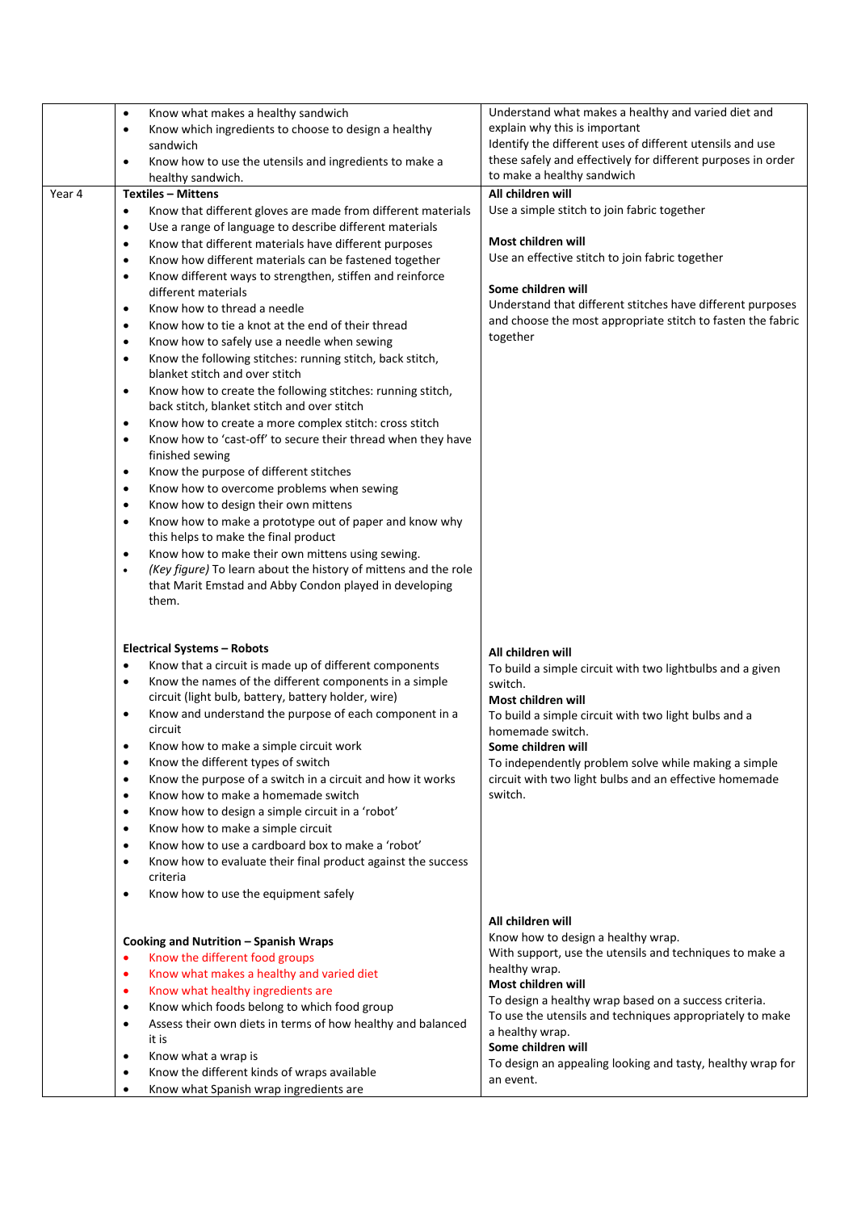|        | Know what makes a healthy sandwich<br>$\bullet$<br>Know which ingredients to choose to design a healthy<br>$\bullet$<br>sandwich | Understand what makes a healthy and varied diet and<br>explain why this is important<br>Identify the different uses of different utensils and use |
|--------|----------------------------------------------------------------------------------------------------------------------------------|---------------------------------------------------------------------------------------------------------------------------------------------------|
|        | Know how to use the utensils and ingredients to make a<br>$\bullet$<br>healthy sandwich.                                         | these safely and effectively for different purposes in order<br>to make a healthy sandwich                                                        |
| Year 4 | <b>Textiles - Mittens</b>                                                                                                        | All children will                                                                                                                                 |
|        | Know that different gloves are made from different materials<br>$\bullet$                                                        | Use a simple stitch to join fabric together                                                                                                       |
|        | Use a range of language to describe different materials<br>$\bullet$                                                             |                                                                                                                                                   |
|        |                                                                                                                                  | Most children will                                                                                                                                |
|        | Know that different materials have different purposes<br>$\bullet$                                                               | Use an effective stitch to join fabric together                                                                                                   |
|        | Know how different materials can be fastened together<br>$\bullet$                                                               |                                                                                                                                                   |
|        | Know different ways to strengthen, stiffen and reinforce<br>$\bullet$                                                            | Some children will                                                                                                                                |
|        | different materials                                                                                                              |                                                                                                                                                   |
|        | Know how to thread a needle<br>$\bullet$                                                                                         | Understand that different stitches have different purposes                                                                                        |
|        | Know how to tie a knot at the end of their thread<br>$\bullet$                                                                   | and choose the most appropriate stitch to fasten the fabric                                                                                       |
|        | Know how to safely use a needle when sewing<br>$\bullet$                                                                         | together                                                                                                                                          |
|        | Know the following stitches: running stitch, back stitch,<br>$\bullet$<br>blanket stitch and over stitch                         |                                                                                                                                                   |
|        | Know how to create the following stitches: running stitch,<br>$\bullet$<br>back stitch, blanket stitch and over stitch           |                                                                                                                                                   |
|        | Know how to create a more complex stitch: cross stitch<br>$\bullet$                                                              |                                                                                                                                                   |
|        | Know how to 'cast-off' to secure their thread when they have<br>$\bullet$<br>finished sewing                                     |                                                                                                                                                   |
|        | Know the purpose of different stitches<br>$\bullet$                                                                              |                                                                                                                                                   |
|        | Know how to overcome problems when sewing<br>$\bullet$                                                                           |                                                                                                                                                   |
|        | Know how to design their own mittens<br>$\bullet$                                                                                |                                                                                                                                                   |
|        | Know how to make a prototype out of paper and know why<br>$\bullet$                                                              |                                                                                                                                                   |
|        | this helps to make the final product                                                                                             |                                                                                                                                                   |
|        | Know how to make their own mittens using sewing.<br>$\bullet$                                                                    |                                                                                                                                                   |
|        | (Key figure) To learn about the history of mittens and the role<br>$\bullet$                                                     |                                                                                                                                                   |
|        | that Marit Emstad and Abby Condon played in developing                                                                           |                                                                                                                                                   |
|        | them.                                                                                                                            |                                                                                                                                                   |
|        |                                                                                                                                  |                                                                                                                                                   |
|        | <b>Electrical Systems - Robots</b>                                                                                               | All children will                                                                                                                                 |
|        | Know that a circuit is made up of different components<br>$\bullet$                                                              | To build a simple circuit with two lightbulbs and a given                                                                                         |
|        | Know the names of the different components in a simple<br>$\bullet$                                                              | switch.                                                                                                                                           |
|        | circuit (light bulb, battery, battery holder, wire)                                                                              | Most children will                                                                                                                                |
|        | Know and understand the purpose of each component in a<br>$\bullet$                                                              | To build a simple circuit with two light bulbs and a                                                                                              |
|        | circuit                                                                                                                          | homemade switch.                                                                                                                                  |
|        | Know how to make a simple circuit work                                                                                           |                                                                                                                                                   |
|        | Know the different types of switch<br>$\bullet$                                                                                  | Some children will                                                                                                                                |
|        |                                                                                                                                  | To independently problem solve while making a simple                                                                                              |
|        | Know the purpose of a switch in a circuit and how it works<br>$\bullet$                                                          | circuit with two light bulbs and an effective homemade<br>switch.                                                                                 |
|        | Know how to make a homemade switch<br>$\bullet$                                                                                  |                                                                                                                                                   |
|        | Know how to design a simple circuit in a 'robot'<br>$\bullet$                                                                    |                                                                                                                                                   |
|        | Know how to make a simple circuit<br>$\bullet$                                                                                   |                                                                                                                                                   |
|        | Know how to use a cardboard box to make a 'robot'<br>$\bullet$                                                                   |                                                                                                                                                   |
|        | Know how to evaluate their final product against the success<br>$\bullet$                                                        |                                                                                                                                                   |
|        | criteria                                                                                                                         |                                                                                                                                                   |
|        | Know how to use the equipment safely<br>$\bullet$                                                                                |                                                                                                                                                   |
|        |                                                                                                                                  | All children will                                                                                                                                 |
|        |                                                                                                                                  |                                                                                                                                                   |
|        | Cooking and Nutrition - Spanish Wraps                                                                                            | Know how to design a healthy wrap.                                                                                                                |
|        | Know the different food groups<br>$\bullet$                                                                                      | With support, use the utensils and techniques to make a                                                                                           |
|        | Know what makes a healthy and varied diet<br>$\bullet$                                                                           | healthy wrap.                                                                                                                                     |
|        | Know what healthy ingredients are<br>$\bullet$                                                                                   | Most children will                                                                                                                                |
|        | Know which foods belong to which food group<br>$\bullet$                                                                         | To design a healthy wrap based on a success criteria.                                                                                             |
|        | Assess their own diets in terms of how healthy and balanced<br>$\bullet$                                                         | To use the utensils and techniques appropriately to make                                                                                          |
|        | it is                                                                                                                            | a healthy wrap.                                                                                                                                   |
|        | Know what a wrap is<br>$\bullet$                                                                                                 | Some children will                                                                                                                                |
|        | Know the different kinds of wraps available<br>$\bullet$                                                                         | To design an appealing looking and tasty, healthy wrap for                                                                                        |
|        | Know what Spanish wrap ingredients are<br>$\bullet$                                                                              | an event.                                                                                                                                         |
|        |                                                                                                                                  |                                                                                                                                                   |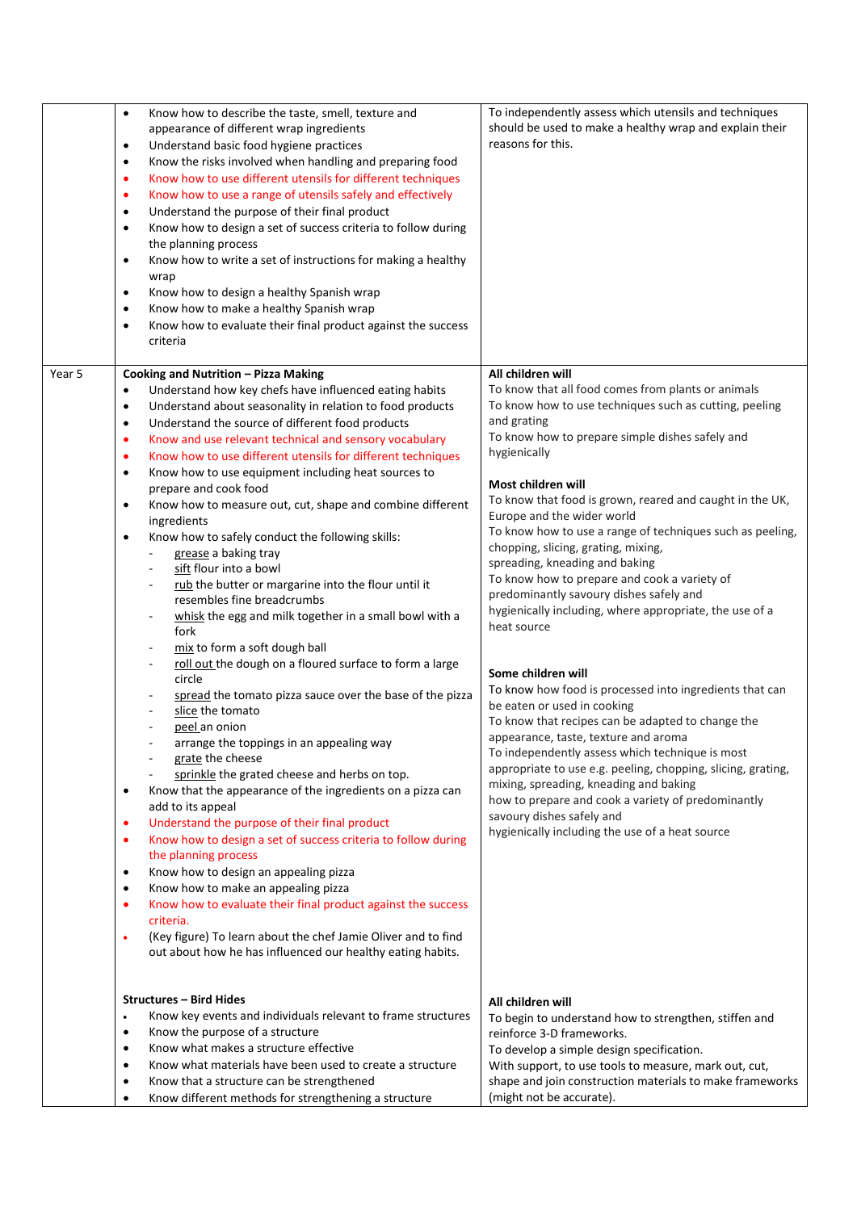| Know the risks involved when handling and preparing food<br>$\bullet$<br>Know how to use different utensils for different techniques<br>٠<br>Know how to use a range of utensils safely and effectively<br>$\bullet$<br>Understand the purpose of their final product<br>$\bullet$<br>Know how to design a set of success criteria to follow during<br>$\bullet$<br>the planning process<br>Know how to write a set of instructions for making a healthy<br>$\bullet$<br>wrap<br>Know how to design a healthy Spanish wrap<br>$\bullet$<br>Know how to make a healthy Spanish wrap<br>$\bullet$<br>Know how to evaluate their final product against the success<br>$\bullet$<br>criteria<br>All children will<br>Year 5<br>Cooking and Nutrition - Pizza Making<br>Understand how key chefs have influenced eating habits<br>To know that all food comes from plants or animals<br>$\bullet$<br>To know how to use techniques such as cutting, peeling<br>Understand about seasonality in relation to food products<br>$\bullet$<br>and grating<br>Understand the source of different food products<br>$\bullet$<br>To know how to prepare simple dishes safely and<br>Know and use relevant technical and sensory vocabulary<br>$\bullet$<br>hygienically<br>Know how to use different utensils for different techniques<br>$\bullet$<br>Know how to use equipment including heat sources to<br>$\bullet$<br>Most children will<br>prepare and cook food<br>To know that food is grown, reared and caught in the UK,<br>Know how to measure out, cut, shape and combine different<br>$\bullet$<br>Europe and the wider world<br>ingredients<br>To know how to use a range of techniques such as peeling,<br>Know how to safely conduct the following skills:<br>$\bullet$<br>chopping, slicing, grating, mixing,<br>grease a baking tray<br>spreading, kneading and baking<br>sift flour into a bowl<br>To know how to prepare and cook a variety of<br>rub the butter or margarine into the flour until it<br>predominantly savoury dishes safely and<br>resembles fine breadcrumbs<br>hygienically including, where appropriate, the use of a<br>whisk the egg and milk together in a small bowl with a<br>heat source<br>fork<br>mix to form a soft dough ball<br>roll out the dough on a floured surface to form a large<br>Some children will<br>circle<br>To know how food is processed into ingredients that can<br>spread the tomato pizza sauce over the base of the pizza<br>be eaten or used in cooking<br>slice the tomato<br>To know that recipes can be adapted to change the<br>peel an onion<br>appearance, taste, texture and aroma<br>arrange the toppings in an appealing way<br>To independently assess which technique is most<br>grate the cheese<br>appropriate to use e.g. peeling, chopping, slicing, grating,<br>sprinkle the grated cheese and herbs on top.<br>mixing, spreading, kneading and baking<br>Know that the appearance of the ingredients on a pizza can<br>$\bullet$<br>how to prepare and cook a variety of predominantly<br>add to its appeal<br>savoury dishes safely and<br>Understand the purpose of their final product<br>$\bullet$<br>hygienically including the use of a heat source<br>Know how to design a set of success criteria to follow during<br>$\bullet$<br>the planning process<br>Know how to design an appealing pizza<br>$\bullet$<br>Know how to make an appealing pizza<br>$\bullet$<br>Know how to evaluate their final product against the success<br>$\bullet$<br>criteria.<br>(Key figure) To learn about the chef Jamie Oliver and to find<br>$\bullet$<br>out about how he has influenced our healthy eating habits.<br><b>Structures - Bird Hides</b><br>All children will<br>Know key events and individuals relevant to frame structures<br>$\bullet$<br>To begin to understand how to strengthen, stiffen and<br>Know the purpose of a structure<br>$\bullet$<br>reinforce 3-D frameworks.<br>Know what makes a structure effective<br>$\bullet$<br>To develop a simple design specification.<br>Know what materials have been used to create a structure<br>With support, to use tools to measure, mark out, cut,<br>$\bullet$<br>shape and join construction materials to make frameworks<br>Know that a structure can be strengthened<br>$\bullet$ | $\bullet$<br>Know how to describe the taste, smell, texture and<br>appearance of different wrap ingredients<br>Understand basic food hygiene practices<br>$\bullet$ | To independently assess which utensils and techniques<br>should be used to make a healthy wrap and explain their<br>reasons for this. |
|-----------------------------------------------------------------------------------------------------------------------------------------------------------------------------------------------------------------------------------------------------------------------------------------------------------------------------------------------------------------------------------------------------------------------------------------------------------------------------------------------------------------------------------------------------------------------------------------------------------------------------------------------------------------------------------------------------------------------------------------------------------------------------------------------------------------------------------------------------------------------------------------------------------------------------------------------------------------------------------------------------------------------------------------------------------------------------------------------------------------------------------------------------------------------------------------------------------------------------------------------------------------------------------------------------------------------------------------------------------------------------------------------------------------------------------------------------------------------------------------------------------------------------------------------------------------------------------------------------------------------------------------------------------------------------------------------------------------------------------------------------------------------------------------------------------------------------------------------------------------------------------------------------------------------------------------------------------------------------------------------------------------------------------------------------------------------------------------------------------------------------------------------------------------------------------------------------------------------------------------------------------------------------------------------------------------------------------------------------------------------------------------------------------------------------------------------------------------------------------------------------------------------------------------------------------------------------------------------------------------------------------------------------------------------------------------------------------------------------------------------------------------------------------------------------------------------------------------------------------------------------------------------------------------------------------------------------------------------------------------------------------------------------------------------------------------------------------------------------------------------------------------------------------------------------------------------------------------------------------------------------------------------------------------------------------------------------------------------------------------------------------------------------------------------------------------------------------------------------------------------------------------------------------------------------------------------------------------------------------------------------------------------------------------------------------------------------------------------------------------------------------------------------------------------------------------------------------------------------------------------------------------------------------------------------------------------------------------------------------------------------------------------------------------------------------------------------------------------------------------------------------------------------------------------------------------------------------------------------------------------------------------------------------------------------------------------------------|---------------------------------------------------------------------------------------------------------------------------------------------------------------------|---------------------------------------------------------------------------------------------------------------------------------------|
|                                                                                                                                                                                                                                                                                                                                                                                                                                                                                                                                                                                                                                                                                                                                                                                                                                                                                                                                                                                                                                                                                                                                                                                                                                                                                                                                                                                                                                                                                                                                                                                                                                                                                                                                                                                                                                                                                                                                                                                                                                                                                                                                                                                                                                                                                                                                                                                                                                                                                                                                                                                                                                                                                                                                                                                                                                                                                                                                                                                                                                                                                                                                                                                                                                                                                                                                                                                                                                                                                                                                                                                                                                                                                                                                                                                                                                                                                                                                                                                                                                                                                                                                                                                                                                                                                                                                   |                                                                                                                                                                     |                                                                                                                                       |
|                                                                                                                                                                                                                                                                                                                                                                                                                                                                                                                                                                                                                                                                                                                                                                                                                                                                                                                                                                                                                                                                                                                                                                                                                                                                                                                                                                                                                                                                                                                                                                                                                                                                                                                                                                                                                                                                                                                                                                                                                                                                                                                                                                                                                                                                                                                                                                                                                                                                                                                                                                                                                                                                                                                                                                                                                                                                                                                                                                                                                                                                                                                                                                                                                                                                                                                                                                                                                                                                                                                                                                                                                                                                                                                                                                                                                                                                                                                                                                                                                                                                                                                                                                                                                                                                                                                                   |                                                                                                                                                                     |                                                                                                                                       |
|                                                                                                                                                                                                                                                                                                                                                                                                                                                                                                                                                                                                                                                                                                                                                                                                                                                                                                                                                                                                                                                                                                                                                                                                                                                                                                                                                                                                                                                                                                                                                                                                                                                                                                                                                                                                                                                                                                                                                                                                                                                                                                                                                                                                                                                                                                                                                                                                                                                                                                                                                                                                                                                                                                                                                                                                                                                                                                                                                                                                                                                                                                                                                                                                                                                                                                                                                                                                                                                                                                                                                                                                                                                                                                                                                                                                                                                                                                                                                                                                                                                                                                                                                                                                                                                                                                                                   |                                                                                                                                                                     |                                                                                                                                       |
|                                                                                                                                                                                                                                                                                                                                                                                                                                                                                                                                                                                                                                                                                                                                                                                                                                                                                                                                                                                                                                                                                                                                                                                                                                                                                                                                                                                                                                                                                                                                                                                                                                                                                                                                                                                                                                                                                                                                                                                                                                                                                                                                                                                                                                                                                                                                                                                                                                                                                                                                                                                                                                                                                                                                                                                                                                                                                                                                                                                                                                                                                                                                                                                                                                                                                                                                                                                                                                                                                                                                                                                                                                                                                                                                                                                                                                                                                                                                                                                                                                                                                                                                                                                                                                                                                                                                   |                                                                                                                                                                     |                                                                                                                                       |
|                                                                                                                                                                                                                                                                                                                                                                                                                                                                                                                                                                                                                                                                                                                                                                                                                                                                                                                                                                                                                                                                                                                                                                                                                                                                                                                                                                                                                                                                                                                                                                                                                                                                                                                                                                                                                                                                                                                                                                                                                                                                                                                                                                                                                                                                                                                                                                                                                                                                                                                                                                                                                                                                                                                                                                                                                                                                                                                                                                                                                                                                                                                                                                                                                                                                                                                                                                                                                                                                                                                                                                                                                                                                                                                                                                                                                                                                                                                                                                                                                                                                                                                                                                                                                                                                                                                                   |                                                                                                                                                                     |                                                                                                                                       |
|                                                                                                                                                                                                                                                                                                                                                                                                                                                                                                                                                                                                                                                                                                                                                                                                                                                                                                                                                                                                                                                                                                                                                                                                                                                                                                                                                                                                                                                                                                                                                                                                                                                                                                                                                                                                                                                                                                                                                                                                                                                                                                                                                                                                                                                                                                                                                                                                                                                                                                                                                                                                                                                                                                                                                                                                                                                                                                                                                                                                                                                                                                                                                                                                                                                                                                                                                                                                                                                                                                                                                                                                                                                                                                                                                                                                                                                                                                                                                                                                                                                                                                                                                                                                                                                                                                                                   |                                                                                                                                                                     |                                                                                                                                       |
|                                                                                                                                                                                                                                                                                                                                                                                                                                                                                                                                                                                                                                                                                                                                                                                                                                                                                                                                                                                                                                                                                                                                                                                                                                                                                                                                                                                                                                                                                                                                                                                                                                                                                                                                                                                                                                                                                                                                                                                                                                                                                                                                                                                                                                                                                                                                                                                                                                                                                                                                                                                                                                                                                                                                                                                                                                                                                                                                                                                                                                                                                                                                                                                                                                                                                                                                                                                                                                                                                                                                                                                                                                                                                                                                                                                                                                                                                                                                                                                                                                                                                                                                                                                                                                                                                                                                   |                                                                                                                                                                     |                                                                                                                                       |
|                                                                                                                                                                                                                                                                                                                                                                                                                                                                                                                                                                                                                                                                                                                                                                                                                                                                                                                                                                                                                                                                                                                                                                                                                                                                                                                                                                                                                                                                                                                                                                                                                                                                                                                                                                                                                                                                                                                                                                                                                                                                                                                                                                                                                                                                                                                                                                                                                                                                                                                                                                                                                                                                                                                                                                                                                                                                                                                                                                                                                                                                                                                                                                                                                                                                                                                                                                                                                                                                                                                                                                                                                                                                                                                                                                                                                                                                                                                                                                                                                                                                                                                                                                                                                                                                                                                                   |                                                                                                                                                                     |                                                                                                                                       |
|                                                                                                                                                                                                                                                                                                                                                                                                                                                                                                                                                                                                                                                                                                                                                                                                                                                                                                                                                                                                                                                                                                                                                                                                                                                                                                                                                                                                                                                                                                                                                                                                                                                                                                                                                                                                                                                                                                                                                                                                                                                                                                                                                                                                                                                                                                                                                                                                                                                                                                                                                                                                                                                                                                                                                                                                                                                                                                                                                                                                                                                                                                                                                                                                                                                                                                                                                                                                                                                                                                                                                                                                                                                                                                                                                                                                                                                                                                                                                                                                                                                                                                                                                                                                                                                                                                                                   |                                                                                                                                                                     |                                                                                                                                       |
|                                                                                                                                                                                                                                                                                                                                                                                                                                                                                                                                                                                                                                                                                                                                                                                                                                                                                                                                                                                                                                                                                                                                                                                                                                                                                                                                                                                                                                                                                                                                                                                                                                                                                                                                                                                                                                                                                                                                                                                                                                                                                                                                                                                                                                                                                                                                                                                                                                                                                                                                                                                                                                                                                                                                                                                                                                                                                                                                                                                                                                                                                                                                                                                                                                                                                                                                                                                                                                                                                                                                                                                                                                                                                                                                                                                                                                                                                                                                                                                                                                                                                                                                                                                                                                                                                                                                   |                                                                                                                                                                     |                                                                                                                                       |
|                                                                                                                                                                                                                                                                                                                                                                                                                                                                                                                                                                                                                                                                                                                                                                                                                                                                                                                                                                                                                                                                                                                                                                                                                                                                                                                                                                                                                                                                                                                                                                                                                                                                                                                                                                                                                                                                                                                                                                                                                                                                                                                                                                                                                                                                                                                                                                                                                                                                                                                                                                                                                                                                                                                                                                                                                                                                                                                                                                                                                                                                                                                                                                                                                                                                                                                                                                                                                                                                                                                                                                                                                                                                                                                                                                                                                                                                                                                                                                                                                                                                                                                                                                                                                                                                                                                                   |                                                                                                                                                                     |                                                                                                                                       |
|                                                                                                                                                                                                                                                                                                                                                                                                                                                                                                                                                                                                                                                                                                                                                                                                                                                                                                                                                                                                                                                                                                                                                                                                                                                                                                                                                                                                                                                                                                                                                                                                                                                                                                                                                                                                                                                                                                                                                                                                                                                                                                                                                                                                                                                                                                                                                                                                                                                                                                                                                                                                                                                                                                                                                                                                                                                                                                                                                                                                                                                                                                                                                                                                                                                                                                                                                                                                                                                                                                                                                                                                                                                                                                                                                                                                                                                                                                                                                                                                                                                                                                                                                                                                                                                                                                                                   |                                                                                                                                                                     |                                                                                                                                       |
|                                                                                                                                                                                                                                                                                                                                                                                                                                                                                                                                                                                                                                                                                                                                                                                                                                                                                                                                                                                                                                                                                                                                                                                                                                                                                                                                                                                                                                                                                                                                                                                                                                                                                                                                                                                                                                                                                                                                                                                                                                                                                                                                                                                                                                                                                                                                                                                                                                                                                                                                                                                                                                                                                                                                                                                                                                                                                                                                                                                                                                                                                                                                                                                                                                                                                                                                                                                                                                                                                                                                                                                                                                                                                                                                                                                                                                                                                                                                                                                                                                                                                                                                                                                                                                                                                                                                   |                                                                                                                                                                     |                                                                                                                                       |
|                                                                                                                                                                                                                                                                                                                                                                                                                                                                                                                                                                                                                                                                                                                                                                                                                                                                                                                                                                                                                                                                                                                                                                                                                                                                                                                                                                                                                                                                                                                                                                                                                                                                                                                                                                                                                                                                                                                                                                                                                                                                                                                                                                                                                                                                                                                                                                                                                                                                                                                                                                                                                                                                                                                                                                                                                                                                                                                                                                                                                                                                                                                                                                                                                                                                                                                                                                                                                                                                                                                                                                                                                                                                                                                                                                                                                                                                                                                                                                                                                                                                                                                                                                                                                                                                                                                                   |                                                                                                                                                                     |                                                                                                                                       |
|                                                                                                                                                                                                                                                                                                                                                                                                                                                                                                                                                                                                                                                                                                                                                                                                                                                                                                                                                                                                                                                                                                                                                                                                                                                                                                                                                                                                                                                                                                                                                                                                                                                                                                                                                                                                                                                                                                                                                                                                                                                                                                                                                                                                                                                                                                                                                                                                                                                                                                                                                                                                                                                                                                                                                                                                                                                                                                                                                                                                                                                                                                                                                                                                                                                                                                                                                                                                                                                                                                                                                                                                                                                                                                                                                                                                                                                                                                                                                                                                                                                                                                                                                                                                                                                                                                                                   |                                                                                                                                                                     |                                                                                                                                       |
|                                                                                                                                                                                                                                                                                                                                                                                                                                                                                                                                                                                                                                                                                                                                                                                                                                                                                                                                                                                                                                                                                                                                                                                                                                                                                                                                                                                                                                                                                                                                                                                                                                                                                                                                                                                                                                                                                                                                                                                                                                                                                                                                                                                                                                                                                                                                                                                                                                                                                                                                                                                                                                                                                                                                                                                                                                                                                                                                                                                                                                                                                                                                                                                                                                                                                                                                                                                                                                                                                                                                                                                                                                                                                                                                                                                                                                                                                                                                                                                                                                                                                                                                                                                                                                                                                                                                   |                                                                                                                                                                     |                                                                                                                                       |
|                                                                                                                                                                                                                                                                                                                                                                                                                                                                                                                                                                                                                                                                                                                                                                                                                                                                                                                                                                                                                                                                                                                                                                                                                                                                                                                                                                                                                                                                                                                                                                                                                                                                                                                                                                                                                                                                                                                                                                                                                                                                                                                                                                                                                                                                                                                                                                                                                                                                                                                                                                                                                                                                                                                                                                                                                                                                                                                                                                                                                                                                                                                                                                                                                                                                                                                                                                                                                                                                                                                                                                                                                                                                                                                                                                                                                                                                                                                                                                                                                                                                                                                                                                                                                                                                                                                                   |                                                                                                                                                                     |                                                                                                                                       |
|                                                                                                                                                                                                                                                                                                                                                                                                                                                                                                                                                                                                                                                                                                                                                                                                                                                                                                                                                                                                                                                                                                                                                                                                                                                                                                                                                                                                                                                                                                                                                                                                                                                                                                                                                                                                                                                                                                                                                                                                                                                                                                                                                                                                                                                                                                                                                                                                                                                                                                                                                                                                                                                                                                                                                                                                                                                                                                                                                                                                                                                                                                                                                                                                                                                                                                                                                                                                                                                                                                                                                                                                                                                                                                                                                                                                                                                                                                                                                                                                                                                                                                                                                                                                                                                                                                                                   |                                                                                                                                                                     |                                                                                                                                       |
|                                                                                                                                                                                                                                                                                                                                                                                                                                                                                                                                                                                                                                                                                                                                                                                                                                                                                                                                                                                                                                                                                                                                                                                                                                                                                                                                                                                                                                                                                                                                                                                                                                                                                                                                                                                                                                                                                                                                                                                                                                                                                                                                                                                                                                                                                                                                                                                                                                                                                                                                                                                                                                                                                                                                                                                                                                                                                                                                                                                                                                                                                                                                                                                                                                                                                                                                                                                                                                                                                                                                                                                                                                                                                                                                                                                                                                                                                                                                                                                                                                                                                                                                                                                                                                                                                                                                   |                                                                                                                                                                     |                                                                                                                                       |
|                                                                                                                                                                                                                                                                                                                                                                                                                                                                                                                                                                                                                                                                                                                                                                                                                                                                                                                                                                                                                                                                                                                                                                                                                                                                                                                                                                                                                                                                                                                                                                                                                                                                                                                                                                                                                                                                                                                                                                                                                                                                                                                                                                                                                                                                                                                                                                                                                                                                                                                                                                                                                                                                                                                                                                                                                                                                                                                                                                                                                                                                                                                                                                                                                                                                                                                                                                                                                                                                                                                                                                                                                                                                                                                                                                                                                                                                                                                                                                                                                                                                                                                                                                                                                                                                                                                                   |                                                                                                                                                                     |                                                                                                                                       |
|                                                                                                                                                                                                                                                                                                                                                                                                                                                                                                                                                                                                                                                                                                                                                                                                                                                                                                                                                                                                                                                                                                                                                                                                                                                                                                                                                                                                                                                                                                                                                                                                                                                                                                                                                                                                                                                                                                                                                                                                                                                                                                                                                                                                                                                                                                                                                                                                                                                                                                                                                                                                                                                                                                                                                                                                                                                                                                                                                                                                                                                                                                                                                                                                                                                                                                                                                                                                                                                                                                                                                                                                                                                                                                                                                                                                                                                                                                                                                                                                                                                                                                                                                                                                                                                                                                                                   |                                                                                                                                                                     |                                                                                                                                       |
|                                                                                                                                                                                                                                                                                                                                                                                                                                                                                                                                                                                                                                                                                                                                                                                                                                                                                                                                                                                                                                                                                                                                                                                                                                                                                                                                                                                                                                                                                                                                                                                                                                                                                                                                                                                                                                                                                                                                                                                                                                                                                                                                                                                                                                                                                                                                                                                                                                                                                                                                                                                                                                                                                                                                                                                                                                                                                                                                                                                                                                                                                                                                                                                                                                                                                                                                                                                                                                                                                                                                                                                                                                                                                                                                                                                                                                                                                                                                                                                                                                                                                                                                                                                                                                                                                                                                   |                                                                                                                                                                     |                                                                                                                                       |
|                                                                                                                                                                                                                                                                                                                                                                                                                                                                                                                                                                                                                                                                                                                                                                                                                                                                                                                                                                                                                                                                                                                                                                                                                                                                                                                                                                                                                                                                                                                                                                                                                                                                                                                                                                                                                                                                                                                                                                                                                                                                                                                                                                                                                                                                                                                                                                                                                                                                                                                                                                                                                                                                                                                                                                                                                                                                                                                                                                                                                                                                                                                                                                                                                                                                                                                                                                                                                                                                                                                                                                                                                                                                                                                                                                                                                                                                                                                                                                                                                                                                                                                                                                                                                                                                                                                                   |                                                                                                                                                                     |                                                                                                                                       |
|                                                                                                                                                                                                                                                                                                                                                                                                                                                                                                                                                                                                                                                                                                                                                                                                                                                                                                                                                                                                                                                                                                                                                                                                                                                                                                                                                                                                                                                                                                                                                                                                                                                                                                                                                                                                                                                                                                                                                                                                                                                                                                                                                                                                                                                                                                                                                                                                                                                                                                                                                                                                                                                                                                                                                                                                                                                                                                                                                                                                                                                                                                                                                                                                                                                                                                                                                                                                                                                                                                                                                                                                                                                                                                                                                                                                                                                                                                                                                                                                                                                                                                                                                                                                                                                                                                                                   |                                                                                                                                                                     |                                                                                                                                       |
|                                                                                                                                                                                                                                                                                                                                                                                                                                                                                                                                                                                                                                                                                                                                                                                                                                                                                                                                                                                                                                                                                                                                                                                                                                                                                                                                                                                                                                                                                                                                                                                                                                                                                                                                                                                                                                                                                                                                                                                                                                                                                                                                                                                                                                                                                                                                                                                                                                                                                                                                                                                                                                                                                                                                                                                                                                                                                                                                                                                                                                                                                                                                                                                                                                                                                                                                                                                                                                                                                                                                                                                                                                                                                                                                                                                                                                                                                                                                                                                                                                                                                                                                                                                                                                                                                                                                   |                                                                                                                                                                     |                                                                                                                                       |
|                                                                                                                                                                                                                                                                                                                                                                                                                                                                                                                                                                                                                                                                                                                                                                                                                                                                                                                                                                                                                                                                                                                                                                                                                                                                                                                                                                                                                                                                                                                                                                                                                                                                                                                                                                                                                                                                                                                                                                                                                                                                                                                                                                                                                                                                                                                                                                                                                                                                                                                                                                                                                                                                                                                                                                                                                                                                                                                                                                                                                                                                                                                                                                                                                                                                                                                                                                                                                                                                                                                                                                                                                                                                                                                                                                                                                                                                                                                                                                                                                                                                                                                                                                                                                                                                                                                                   |                                                                                                                                                                     |                                                                                                                                       |
|                                                                                                                                                                                                                                                                                                                                                                                                                                                                                                                                                                                                                                                                                                                                                                                                                                                                                                                                                                                                                                                                                                                                                                                                                                                                                                                                                                                                                                                                                                                                                                                                                                                                                                                                                                                                                                                                                                                                                                                                                                                                                                                                                                                                                                                                                                                                                                                                                                                                                                                                                                                                                                                                                                                                                                                                                                                                                                                                                                                                                                                                                                                                                                                                                                                                                                                                                                                                                                                                                                                                                                                                                                                                                                                                                                                                                                                                                                                                                                                                                                                                                                                                                                                                                                                                                                                                   |                                                                                                                                                                     |                                                                                                                                       |
|                                                                                                                                                                                                                                                                                                                                                                                                                                                                                                                                                                                                                                                                                                                                                                                                                                                                                                                                                                                                                                                                                                                                                                                                                                                                                                                                                                                                                                                                                                                                                                                                                                                                                                                                                                                                                                                                                                                                                                                                                                                                                                                                                                                                                                                                                                                                                                                                                                                                                                                                                                                                                                                                                                                                                                                                                                                                                                                                                                                                                                                                                                                                                                                                                                                                                                                                                                                                                                                                                                                                                                                                                                                                                                                                                                                                                                                                                                                                                                                                                                                                                                                                                                                                                                                                                                                                   |                                                                                                                                                                     |                                                                                                                                       |
|                                                                                                                                                                                                                                                                                                                                                                                                                                                                                                                                                                                                                                                                                                                                                                                                                                                                                                                                                                                                                                                                                                                                                                                                                                                                                                                                                                                                                                                                                                                                                                                                                                                                                                                                                                                                                                                                                                                                                                                                                                                                                                                                                                                                                                                                                                                                                                                                                                                                                                                                                                                                                                                                                                                                                                                                                                                                                                                                                                                                                                                                                                                                                                                                                                                                                                                                                                                                                                                                                                                                                                                                                                                                                                                                                                                                                                                                                                                                                                                                                                                                                                                                                                                                                                                                                                                                   |                                                                                                                                                                     |                                                                                                                                       |
|                                                                                                                                                                                                                                                                                                                                                                                                                                                                                                                                                                                                                                                                                                                                                                                                                                                                                                                                                                                                                                                                                                                                                                                                                                                                                                                                                                                                                                                                                                                                                                                                                                                                                                                                                                                                                                                                                                                                                                                                                                                                                                                                                                                                                                                                                                                                                                                                                                                                                                                                                                                                                                                                                                                                                                                                                                                                                                                                                                                                                                                                                                                                                                                                                                                                                                                                                                                                                                                                                                                                                                                                                                                                                                                                                                                                                                                                                                                                                                                                                                                                                                                                                                                                                                                                                                                                   |                                                                                                                                                                     |                                                                                                                                       |
|                                                                                                                                                                                                                                                                                                                                                                                                                                                                                                                                                                                                                                                                                                                                                                                                                                                                                                                                                                                                                                                                                                                                                                                                                                                                                                                                                                                                                                                                                                                                                                                                                                                                                                                                                                                                                                                                                                                                                                                                                                                                                                                                                                                                                                                                                                                                                                                                                                                                                                                                                                                                                                                                                                                                                                                                                                                                                                                                                                                                                                                                                                                                                                                                                                                                                                                                                                                                                                                                                                                                                                                                                                                                                                                                                                                                                                                                                                                                                                                                                                                                                                                                                                                                                                                                                                                                   |                                                                                                                                                                     |                                                                                                                                       |
|                                                                                                                                                                                                                                                                                                                                                                                                                                                                                                                                                                                                                                                                                                                                                                                                                                                                                                                                                                                                                                                                                                                                                                                                                                                                                                                                                                                                                                                                                                                                                                                                                                                                                                                                                                                                                                                                                                                                                                                                                                                                                                                                                                                                                                                                                                                                                                                                                                                                                                                                                                                                                                                                                                                                                                                                                                                                                                                                                                                                                                                                                                                                                                                                                                                                                                                                                                                                                                                                                                                                                                                                                                                                                                                                                                                                                                                                                                                                                                                                                                                                                                                                                                                                                                                                                                                                   |                                                                                                                                                                     |                                                                                                                                       |
|                                                                                                                                                                                                                                                                                                                                                                                                                                                                                                                                                                                                                                                                                                                                                                                                                                                                                                                                                                                                                                                                                                                                                                                                                                                                                                                                                                                                                                                                                                                                                                                                                                                                                                                                                                                                                                                                                                                                                                                                                                                                                                                                                                                                                                                                                                                                                                                                                                                                                                                                                                                                                                                                                                                                                                                                                                                                                                                                                                                                                                                                                                                                                                                                                                                                                                                                                                                                                                                                                                                                                                                                                                                                                                                                                                                                                                                                                                                                                                                                                                                                                                                                                                                                                                                                                                                                   |                                                                                                                                                                     |                                                                                                                                       |
|                                                                                                                                                                                                                                                                                                                                                                                                                                                                                                                                                                                                                                                                                                                                                                                                                                                                                                                                                                                                                                                                                                                                                                                                                                                                                                                                                                                                                                                                                                                                                                                                                                                                                                                                                                                                                                                                                                                                                                                                                                                                                                                                                                                                                                                                                                                                                                                                                                                                                                                                                                                                                                                                                                                                                                                                                                                                                                                                                                                                                                                                                                                                                                                                                                                                                                                                                                                                                                                                                                                                                                                                                                                                                                                                                                                                                                                                                                                                                                                                                                                                                                                                                                                                                                                                                                                                   |                                                                                                                                                                     |                                                                                                                                       |
|                                                                                                                                                                                                                                                                                                                                                                                                                                                                                                                                                                                                                                                                                                                                                                                                                                                                                                                                                                                                                                                                                                                                                                                                                                                                                                                                                                                                                                                                                                                                                                                                                                                                                                                                                                                                                                                                                                                                                                                                                                                                                                                                                                                                                                                                                                                                                                                                                                                                                                                                                                                                                                                                                                                                                                                                                                                                                                                                                                                                                                                                                                                                                                                                                                                                                                                                                                                                                                                                                                                                                                                                                                                                                                                                                                                                                                                                                                                                                                                                                                                                                                                                                                                                                                                                                                                                   |                                                                                                                                                                     |                                                                                                                                       |
|                                                                                                                                                                                                                                                                                                                                                                                                                                                                                                                                                                                                                                                                                                                                                                                                                                                                                                                                                                                                                                                                                                                                                                                                                                                                                                                                                                                                                                                                                                                                                                                                                                                                                                                                                                                                                                                                                                                                                                                                                                                                                                                                                                                                                                                                                                                                                                                                                                                                                                                                                                                                                                                                                                                                                                                                                                                                                                                                                                                                                                                                                                                                                                                                                                                                                                                                                                                                                                                                                                                                                                                                                                                                                                                                                                                                                                                                                                                                                                                                                                                                                                                                                                                                                                                                                                                                   |                                                                                                                                                                     |                                                                                                                                       |
|                                                                                                                                                                                                                                                                                                                                                                                                                                                                                                                                                                                                                                                                                                                                                                                                                                                                                                                                                                                                                                                                                                                                                                                                                                                                                                                                                                                                                                                                                                                                                                                                                                                                                                                                                                                                                                                                                                                                                                                                                                                                                                                                                                                                                                                                                                                                                                                                                                                                                                                                                                                                                                                                                                                                                                                                                                                                                                                                                                                                                                                                                                                                                                                                                                                                                                                                                                                                                                                                                                                                                                                                                                                                                                                                                                                                                                                                                                                                                                                                                                                                                                                                                                                                                                                                                                                                   |                                                                                                                                                                     |                                                                                                                                       |
|                                                                                                                                                                                                                                                                                                                                                                                                                                                                                                                                                                                                                                                                                                                                                                                                                                                                                                                                                                                                                                                                                                                                                                                                                                                                                                                                                                                                                                                                                                                                                                                                                                                                                                                                                                                                                                                                                                                                                                                                                                                                                                                                                                                                                                                                                                                                                                                                                                                                                                                                                                                                                                                                                                                                                                                                                                                                                                                                                                                                                                                                                                                                                                                                                                                                                                                                                                                                                                                                                                                                                                                                                                                                                                                                                                                                                                                                                                                                                                                                                                                                                                                                                                                                                                                                                                                                   |                                                                                                                                                                     |                                                                                                                                       |
|                                                                                                                                                                                                                                                                                                                                                                                                                                                                                                                                                                                                                                                                                                                                                                                                                                                                                                                                                                                                                                                                                                                                                                                                                                                                                                                                                                                                                                                                                                                                                                                                                                                                                                                                                                                                                                                                                                                                                                                                                                                                                                                                                                                                                                                                                                                                                                                                                                                                                                                                                                                                                                                                                                                                                                                                                                                                                                                                                                                                                                                                                                                                                                                                                                                                                                                                                                                                                                                                                                                                                                                                                                                                                                                                                                                                                                                                                                                                                                                                                                                                                                                                                                                                                                                                                                                                   |                                                                                                                                                                     |                                                                                                                                       |
|                                                                                                                                                                                                                                                                                                                                                                                                                                                                                                                                                                                                                                                                                                                                                                                                                                                                                                                                                                                                                                                                                                                                                                                                                                                                                                                                                                                                                                                                                                                                                                                                                                                                                                                                                                                                                                                                                                                                                                                                                                                                                                                                                                                                                                                                                                                                                                                                                                                                                                                                                                                                                                                                                                                                                                                                                                                                                                                                                                                                                                                                                                                                                                                                                                                                                                                                                                                                                                                                                                                                                                                                                                                                                                                                                                                                                                                                                                                                                                                                                                                                                                                                                                                                                                                                                                                                   |                                                                                                                                                                     |                                                                                                                                       |
|                                                                                                                                                                                                                                                                                                                                                                                                                                                                                                                                                                                                                                                                                                                                                                                                                                                                                                                                                                                                                                                                                                                                                                                                                                                                                                                                                                                                                                                                                                                                                                                                                                                                                                                                                                                                                                                                                                                                                                                                                                                                                                                                                                                                                                                                                                                                                                                                                                                                                                                                                                                                                                                                                                                                                                                                                                                                                                                                                                                                                                                                                                                                                                                                                                                                                                                                                                                                                                                                                                                                                                                                                                                                                                                                                                                                                                                                                                                                                                                                                                                                                                                                                                                                                                                                                                                                   |                                                                                                                                                                     |                                                                                                                                       |
|                                                                                                                                                                                                                                                                                                                                                                                                                                                                                                                                                                                                                                                                                                                                                                                                                                                                                                                                                                                                                                                                                                                                                                                                                                                                                                                                                                                                                                                                                                                                                                                                                                                                                                                                                                                                                                                                                                                                                                                                                                                                                                                                                                                                                                                                                                                                                                                                                                                                                                                                                                                                                                                                                                                                                                                                                                                                                                                                                                                                                                                                                                                                                                                                                                                                                                                                                                                                                                                                                                                                                                                                                                                                                                                                                                                                                                                                                                                                                                                                                                                                                                                                                                                                                                                                                                                                   |                                                                                                                                                                     |                                                                                                                                       |
|                                                                                                                                                                                                                                                                                                                                                                                                                                                                                                                                                                                                                                                                                                                                                                                                                                                                                                                                                                                                                                                                                                                                                                                                                                                                                                                                                                                                                                                                                                                                                                                                                                                                                                                                                                                                                                                                                                                                                                                                                                                                                                                                                                                                                                                                                                                                                                                                                                                                                                                                                                                                                                                                                                                                                                                                                                                                                                                                                                                                                                                                                                                                                                                                                                                                                                                                                                                                                                                                                                                                                                                                                                                                                                                                                                                                                                                                                                                                                                                                                                                                                                                                                                                                                                                                                                                                   |                                                                                                                                                                     |                                                                                                                                       |
|                                                                                                                                                                                                                                                                                                                                                                                                                                                                                                                                                                                                                                                                                                                                                                                                                                                                                                                                                                                                                                                                                                                                                                                                                                                                                                                                                                                                                                                                                                                                                                                                                                                                                                                                                                                                                                                                                                                                                                                                                                                                                                                                                                                                                                                                                                                                                                                                                                                                                                                                                                                                                                                                                                                                                                                                                                                                                                                                                                                                                                                                                                                                                                                                                                                                                                                                                                                                                                                                                                                                                                                                                                                                                                                                                                                                                                                                                                                                                                                                                                                                                                                                                                                                                                                                                                                                   |                                                                                                                                                                     |                                                                                                                                       |
|                                                                                                                                                                                                                                                                                                                                                                                                                                                                                                                                                                                                                                                                                                                                                                                                                                                                                                                                                                                                                                                                                                                                                                                                                                                                                                                                                                                                                                                                                                                                                                                                                                                                                                                                                                                                                                                                                                                                                                                                                                                                                                                                                                                                                                                                                                                                                                                                                                                                                                                                                                                                                                                                                                                                                                                                                                                                                                                                                                                                                                                                                                                                                                                                                                                                                                                                                                                                                                                                                                                                                                                                                                                                                                                                                                                                                                                                                                                                                                                                                                                                                                                                                                                                                                                                                                                                   |                                                                                                                                                                     |                                                                                                                                       |
|                                                                                                                                                                                                                                                                                                                                                                                                                                                                                                                                                                                                                                                                                                                                                                                                                                                                                                                                                                                                                                                                                                                                                                                                                                                                                                                                                                                                                                                                                                                                                                                                                                                                                                                                                                                                                                                                                                                                                                                                                                                                                                                                                                                                                                                                                                                                                                                                                                                                                                                                                                                                                                                                                                                                                                                                                                                                                                                                                                                                                                                                                                                                                                                                                                                                                                                                                                                                                                                                                                                                                                                                                                                                                                                                                                                                                                                                                                                                                                                                                                                                                                                                                                                                                                                                                                                                   |                                                                                                                                                                     |                                                                                                                                       |
|                                                                                                                                                                                                                                                                                                                                                                                                                                                                                                                                                                                                                                                                                                                                                                                                                                                                                                                                                                                                                                                                                                                                                                                                                                                                                                                                                                                                                                                                                                                                                                                                                                                                                                                                                                                                                                                                                                                                                                                                                                                                                                                                                                                                                                                                                                                                                                                                                                                                                                                                                                                                                                                                                                                                                                                                                                                                                                                                                                                                                                                                                                                                                                                                                                                                                                                                                                                                                                                                                                                                                                                                                                                                                                                                                                                                                                                                                                                                                                                                                                                                                                                                                                                                                                                                                                                                   |                                                                                                                                                                     |                                                                                                                                       |
|                                                                                                                                                                                                                                                                                                                                                                                                                                                                                                                                                                                                                                                                                                                                                                                                                                                                                                                                                                                                                                                                                                                                                                                                                                                                                                                                                                                                                                                                                                                                                                                                                                                                                                                                                                                                                                                                                                                                                                                                                                                                                                                                                                                                                                                                                                                                                                                                                                                                                                                                                                                                                                                                                                                                                                                                                                                                                                                                                                                                                                                                                                                                                                                                                                                                                                                                                                                                                                                                                                                                                                                                                                                                                                                                                                                                                                                                                                                                                                                                                                                                                                                                                                                                                                                                                                                                   |                                                                                                                                                                     |                                                                                                                                       |
|                                                                                                                                                                                                                                                                                                                                                                                                                                                                                                                                                                                                                                                                                                                                                                                                                                                                                                                                                                                                                                                                                                                                                                                                                                                                                                                                                                                                                                                                                                                                                                                                                                                                                                                                                                                                                                                                                                                                                                                                                                                                                                                                                                                                                                                                                                                                                                                                                                                                                                                                                                                                                                                                                                                                                                                                                                                                                                                                                                                                                                                                                                                                                                                                                                                                                                                                                                                                                                                                                                                                                                                                                                                                                                                                                                                                                                                                                                                                                                                                                                                                                                                                                                                                                                                                                                                                   |                                                                                                                                                                     |                                                                                                                                       |
|                                                                                                                                                                                                                                                                                                                                                                                                                                                                                                                                                                                                                                                                                                                                                                                                                                                                                                                                                                                                                                                                                                                                                                                                                                                                                                                                                                                                                                                                                                                                                                                                                                                                                                                                                                                                                                                                                                                                                                                                                                                                                                                                                                                                                                                                                                                                                                                                                                                                                                                                                                                                                                                                                                                                                                                                                                                                                                                                                                                                                                                                                                                                                                                                                                                                                                                                                                                                                                                                                                                                                                                                                                                                                                                                                                                                                                                                                                                                                                                                                                                                                                                                                                                                                                                                                                                                   |                                                                                                                                                                     |                                                                                                                                       |
|                                                                                                                                                                                                                                                                                                                                                                                                                                                                                                                                                                                                                                                                                                                                                                                                                                                                                                                                                                                                                                                                                                                                                                                                                                                                                                                                                                                                                                                                                                                                                                                                                                                                                                                                                                                                                                                                                                                                                                                                                                                                                                                                                                                                                                                                                                                                                                                                                                                                                                                                                                                                                                                                                                                                                                                                                                                                                                                                                                                                                                                                                                                                                                                                                                                                                                                                                                                                                                                                                                                                                                                                                                                                                                                                                                                                                                                                                                                                                                                                                                                                                                                                                                                                                                                                                                                                   |                                                                                                                                                                     |                                                                                                                                       |
|                                                                                                                                                                                                                                                                                                                                                                                                                                                                                                                                                                                                                                                                                                                                                                                                                                                                                                                                                                                                                                                                                                                                                                                                                                                                                                                                                                                                                                                                                                                                                                                                                                                                                                                                                                                                                                                                                                                                                                                                                                                                                                                                                                                                                                                                                                                                                                                                                                                                                                                                                                                                                                                                                                                                                                                                                                                                                                                                                                                                                                                                                                                                                                                                                                                                                                                                                                                                                                                                                                                                                                                                                                                                                                                                                                                                                                                                                                                                                                                                                                                                                                                                                                                                                                                                                                                                   |                                                                                                                                                                     |                                                                                                                                       |
|                                                                                                                                                                                                                                                                                                                                                                                                                                                                                                                                                                                                                                                                                                                                                                                                                                                                                                                                                                                                                                                                                                                                                                                                                                                                                                                                                                                                                                                                                                                                                                                                                                                                                                                                                                                                                                                                                                                                                                                                                                                                                                                                                                                                                                                                                                                                                                                                                                                                                                                                                                                                                                                                                                                                                                                                                                                                                                                                                                                                                                                                                                                                                                                                                                                                                                                                                                                                                                                                                                                                                                                                                                                                                                                                                                                                                                                                                                                                                                                                                                                                                                                                                                                                                                                                                                                                   | Know different methods for strengthening a structure<br>$\bullet$                                                                                                   | (might not be accurate).                                                                                                              |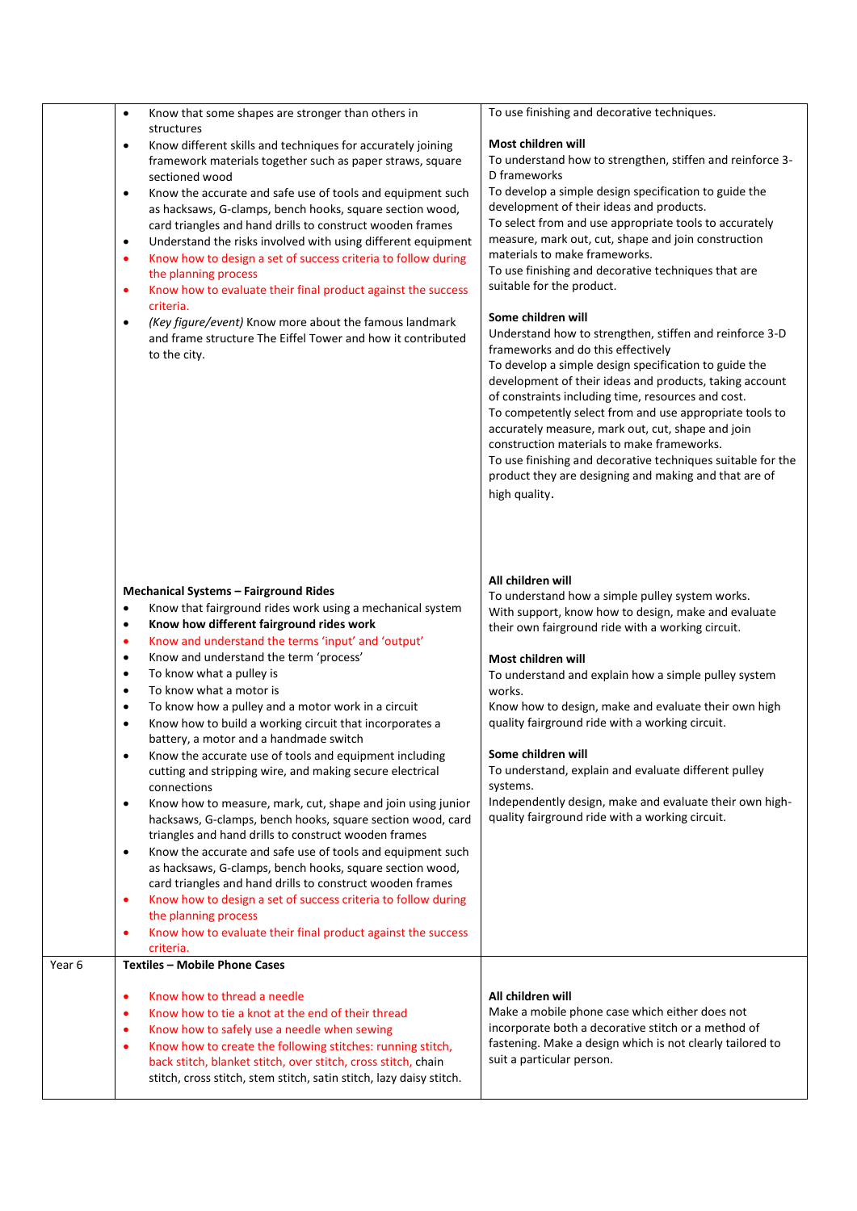|        | Know that some shapes are stronger than others in<br>$\bullet$<br>structures<br>Know different skills and techniques for accurately joining<br>$\bullet$<br>framework materials together such as paper straws, square<br>sectioned wood<br>Know the accurate and safe use of tools and equipment such<br>$\bullet$<br>as hacksaws, G-clamps, bench hooks, square section wood,<br>card triangles and hand drills to construct wooden frames<br>Understand the risks involved with using different equipment<br>$\bullet$<br>Know how to design a set of success criteria to follow during<br>$\bullet$<br>the planning process<br>Know how to evaluate their final product against the success<br>٠<br>criteria.<br>(Key figure/event) Know more about the famous landmark<br>$\bullet$<br>and frame structure The Eiffel Tower and how it contributed<br>to the city.                                                                                                                                                                                                                                                                                                                                                                                                                                                                                                  | To use finishing and decorative techniques.<br>Most children will<br>To understand how to strengthen, stiffen and reinforce 3-<br>D frameworks<br>To develop a simple design specification to guide the<br>development of their ideas and products.<br>To select from and use appropriate tools to accurately<br>measure, mark out, cut, shape and join construction<br>materials to make frameworks.<br>To use finishing and decorative techniques that are<br>suitable for the product.<br>Some children will<br>Understand how to strengthen, stiffen and reinforce 3-D<br>frameworks and do this effectively<br>To develop a simple design specification to guide the<br>development of their ideas and products, taking account<br>of constraints including time, resources and cost.<br>To competently select from and use appropriate tools to<br>accurately measure, mark out, cut, shape and join<br>construction materials to make frameworks.<br>To use finishing and decorative techniques suitable for the |
|--------|-------------------------------------------------------------------------------------------------------------------------------------------------------------------------------------------------------------------------------------------------------------------------------------------------------------------------------------------------------------------------------------------------------------------------------------------------------------------------------------------------------------------------------------------------------------------------------------------------------------------------------------------------------------------------------------------------------------------------------------------------------------------------------------------------------------------------------------------------------------------------------------------------------------------------------------------------------------------------------------------------------------------------------------------------------------------------------------------------------------------------------------------------------------------------------------------------------------------------------------------------------------------------------------------------------------------------------------------------------------------------|-------------------------------------------------------------------------------------------------------------------------------------------------------------------------------------------------------------------------------------------------------------------------------------------------------------------------------------------------------------------------------------------------------------------------------------------------------------------------------------------------------------------------------------------------------------------------------------------------------------------------------------------------------------------------------------------------------------------------------------------------------------------------------------------------------------------------------------------------------------------------------------------------------------------------------------------------------------------------------------------------------------------------|
| Year 6 | <b>Mechanical Systems - Fairground Rides</b><br>Know that fairground rides work using a mechanical system<br>$\bullet$<br>Know how different fairground rides work<br>$\bullet$<br>Know and understand the terms 'input' and 'output'<br>$\bullet$<br>Know and understand the term 'process'<br>$\bullet$<br>To know what a pulley is<br>$\bullet$<br>To know what a motor is<br>$\bullet$<br>To know how a pulley and a motor work in a circuit<br>$\bullet$<br>Know how to build a working circuit that incorporates a<br>$\bullet$<br>battery, a motor and a handmade switch<br>Know the accurate use of tools and equipment including<br>$\bullet$<br>cutting and stripping wire, and making secure electrical<br>connections<br>Know how to measure, mark, cut, shape and join using junior<br>$\bullet$<br>hacksaws, G-clamps, bench hooks, square section wood, card<br>triangles and hand drills to construct wooden frames<br>Know the accurate and safe use of tools and equipment such<br>$\bullet$<br>as hacksaws, G-clamps, bench hooks, square section wood,<br>card triangles and hand drills to construct wooden frames<br>Know how to design a set of success criteria to follow during<br>$\bullet$<br>the planning process<br>Know how to evaluate their final product against the success<br>٠<br>criteria.<br><b>Textiles - Mobile Phone Cases</b> | product they are designing and making and that are of<br>high quality.<br>All children will<br>To understand how a simple pulley system works.<br>With support, know how to design, make and evaluate<br>their own fairground ride with a working circuit.<br>Most children will<br>To understand and explain how a simple pulley system<br>works.<br>Know how to design, make and evaluate their own high<br>quality fairground ride with a working circuit.<br>Some children will<br>To understand, explain and evaluate different pulley<br>systems.<br>Independently design, make and evaluate their own high-<br>quality fairground ride with a working circuit.                                                                                                                                                                                                                                                                                                                                                   |
|        | Know how to thread a needle<br>٠<br>Know how to tie a knot at the end of their thread<br>$\bullet$<br>Know how to safely use a needle when sewing<br>٠<br>Know how to create the following stitches: running stitch,<br>$\bullet$<br>back stitch, blanket stitch, over stitch, cross stitch, chain<br>stitch, cross stitch, stem stitch, satin stitch, lazy daisy stitch.                                                                                                                                                                                                                                                                                                                                                                                                                                                                                                                                                                                                                                                                                                                                                                                                                                                                                                                                                                                               | All children will<br>Make a mobile phone case which either does not<br>incorporate both a decorative stitch or a method of<br>fastening. Make a design which is not clearly tailored to<br>suit a particular person.                                                                                                                                                                                                                                                                                                                                                                                                                                                                                                                                                                                                                                                                                                                                                                                                    |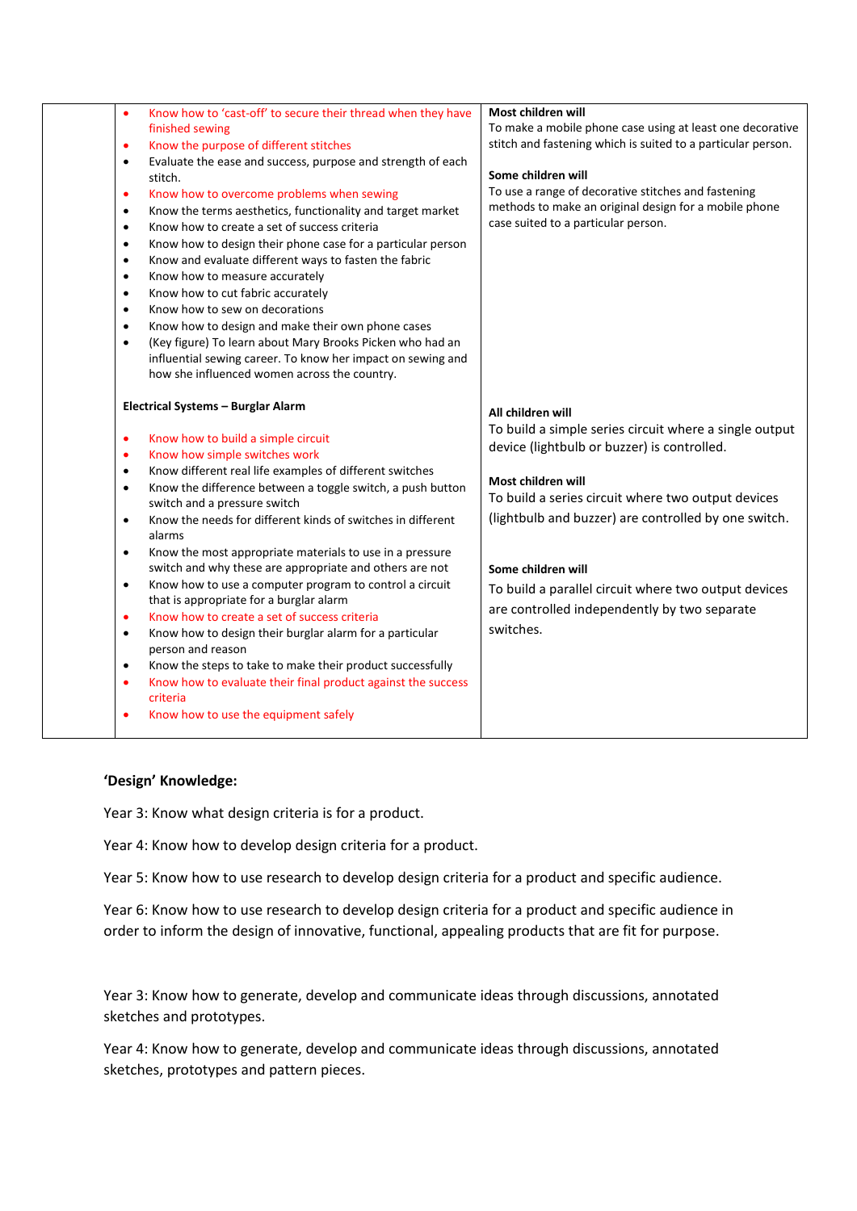| $\bullet$<br>$\bullet$<br>٠<br>$\bullet$<br>$\bullet$<br>$\bullet$<br>$\bullet$<br>$\bullet$<br>$\bullet$<br>$\bullet$<br>$\bullet$<br>$\bullet$<br>٠ | finished sewing<br>Know the purpose of different stitches<br>Evaluate the ease and success, purpose and strength of each<br>stitch.<br>Know how to overcome problems when sewing<br>Know the terms aesthetics, functionality and target market<br>Know how to create a set of success criteria<br>Know how to design their phone case for a particular person<br>Know and evaluate different ways to fasten the fabric<br>Know how to measure accurately<br>Know how to cut fabric accurately<br>Know how to sew on decorations<br>Know how to design and make their own phone cases<br>(Key figure) To learn about Mary Brooks Picken who had an<br>influential sewing career. To know her impact on sewing and<br>how she influenced women across the country.<br>Electrical Systems - Burglar Alarm<br>Know how to build a simple circuit | To make a mobile phone case using at least one decorative<br>stitch and fastening which is suited to a particular person.<br>Some children will<br>To use a range of decorative stitches and fastening<br>methods to make an original design for a mobile phone<br>case suited to a particular person.<br>All children will<br>To build a simple series circuit where a single output |
|-------------------------------------------------------------------------------------------------------------------------------------------------------|----------------------------------------------------------------------------------------------------------------------------------------------------------------------------------------------------------------------------------------------------------------------------------------------------------------------------------------------------------------------------------------------------------------------------------------------------------------------------------------------------------------------------------------------------------------------------------------------------------------------------------------------------------------------------------------------------------------------------------------------------------------------------------------------------------------------------------------------|---------------------------------------------------------------------------------------------------------------------------------------------------------------------------------------------------------------------------------------------------------------------------------------------------------------------------------------------------------------------------------------|
| $\bullet$<br>$\bullet$<br>$\bullet$<br>$\bullet$<br>٠<br>$\bullet$<br>٠<br>$\bullet$<br>$\bullet$<br>$\bullet$                                        | Know how simple switches work<br>Know different real life examples of different switches<br>Know the difference between a toggle switch, a push button<br>switch and a pressure switch<br>Know the needs for different kinds of switches in different<br>alarms<br>Know the most appropriate materials to use in a pressure<br>switch and why these are appropriate and others are not<br>Know how to use a computer program to control a circuit<br>that is appropriate for a burglar alarm<br>Know how to create a set of success criteria<br>Know how to design their burglar alarm for a particular<br>person and reason<br>Know the steps to take to make their product successfully<br>Know how to evaluate their final product against the success<br>criteria<br>Know how to use the equipment safely                                | device (lightbulb or buzzer) is controlled.<br>Most children will<br>To build a series circuit where two output devices<br>(lightbulb and buzzer) are controlled by one switch.<br>Some children will<br>To build a parallel circuit where two output devices<br>are controlled independently by two separate<br>switches.                                                            |

## **'Design' Knowledge:**

Year 3: Know what design criteria is for a product.

Year 4: Know how to develop design criteria for a product.

Year 5: Know how to use research to develop design criteria for a product and specific audience.

Year 6: Know how to use research to develop design criteria for a product and specific audience in order to inform the design of innovative, functional, appealing products that are fit for purpose.

Year 3: Know how to generate, develop and communicate ideas through discussions, annotated sketches and prototypes.

Year 4: Know how to generate, develop and communicate ideas through discussions, annotated sketches, prototypes and pattern pieces.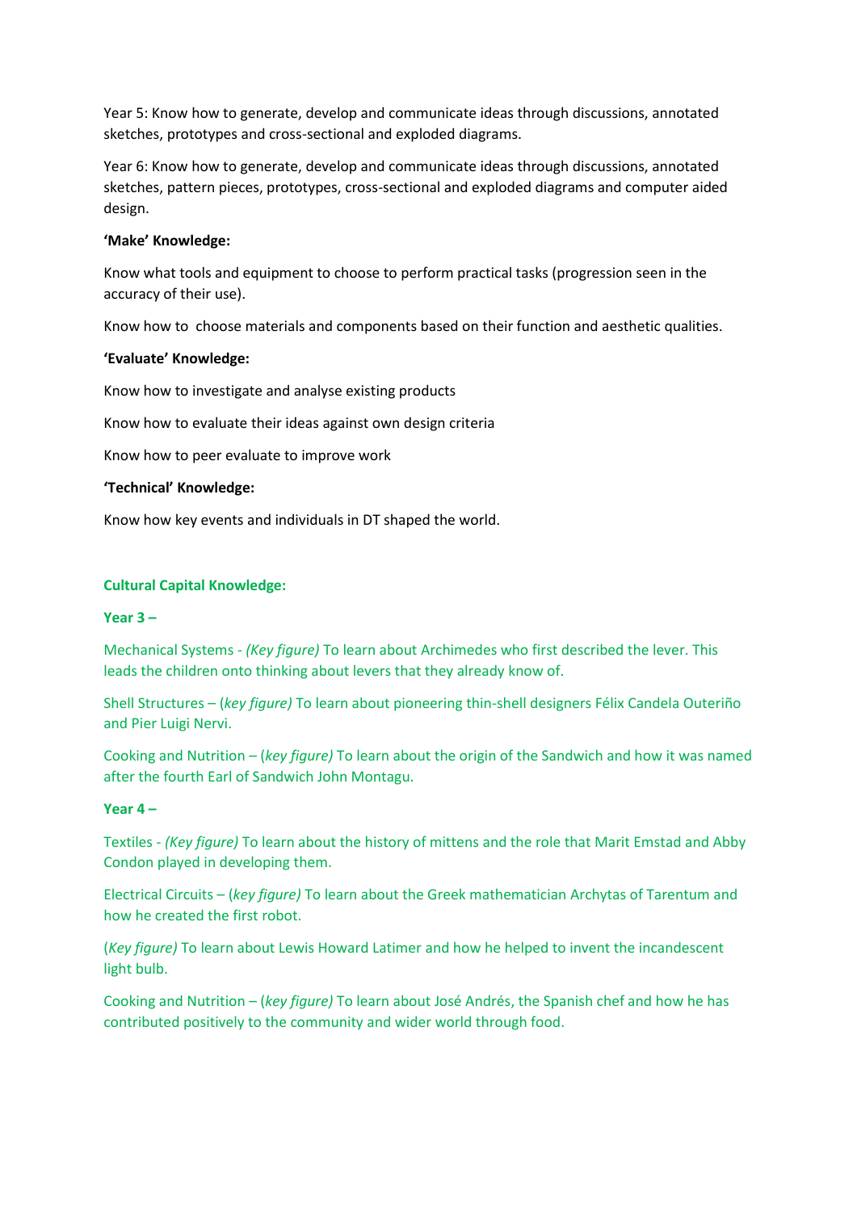Year 5: Know how to generate, develop and communicate ideas through discussions, annotated sketches, prototypes and cross-sectional and exploded diagrams.

Year 6: Know how to generate, develop and communicate ideas through discussions, annotated sketches, pattern pieces, prototypes, cross-sectional and exploded diagrams and computer aided design.

### **'Make' Knowledge:**

Know what tools and equipment to choose to perform practical tasks (progression seen in the accuracy of their use).

Know how to choose materials and components based on their function and aesthetic qualities.

## **'Evaluate' Knowledge:**

Know how to investigate and analyse existing products

Know how to evaluate their ideas against own design criteria

Know how to peer evaluate to improve work

## **'Technical' Knowledge:**

Know how key events and individuals in DT shaped the world.

## **Cultural Capital Knowledge:**

#### **Year 3 –**

Mechanical Systems - *(Key figure)* To learn about Archimedes who first described the lever. This leads the children onto thinking about levers that they already know of.

Shell Structures – (*key figure)* To learn about pioneering thin-shell designers Félix Candela Outeriño and Pier Luigi Nervi.

Cooking and Nutrition – (*key figure)* To learn about the origin of the Sandwich and how it was named after the fourth Earl of Sandwich John Montagu.

#### **Year 4 –**

Textiles - *(Key figure)* To learn about the history of mittens and the role that Marit Emstad and Abby Condon played in developing them.

Electrical Circuits – (*key figure)* To learn about the Greek mathematician Archytas of Tarentum and how he created the first robot.

(*Key figure)* To learn about Lewis Howard Latimer and how he helped to invent the incandescent light bulb.

Cooking and Nutrition – (*key figure)* To learn about José Andrés, the Spanish chef and how he has contributed positively to the community and wider world through food.